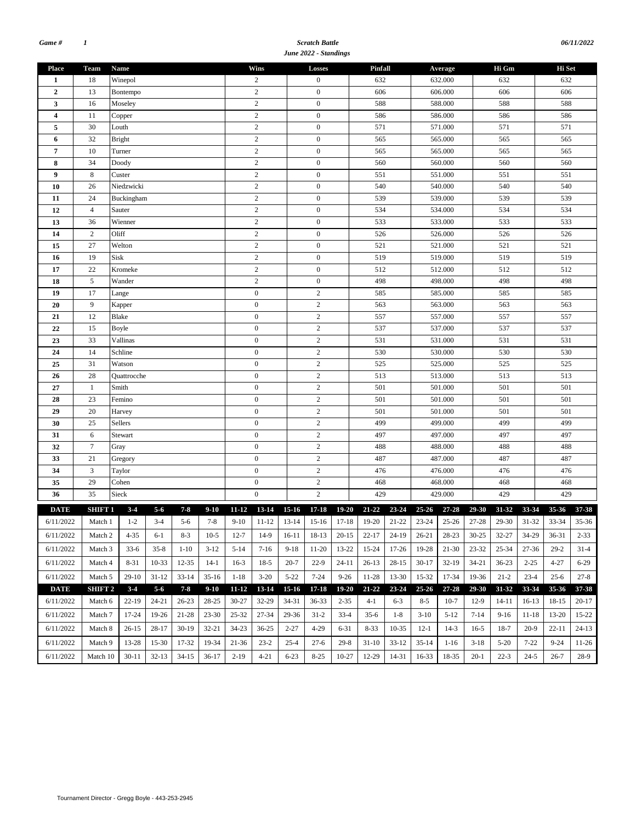#### *Scratch Battle June 2022 - Standings*

| <b>Place</b>            | Team             | Name          |           |           |            |                  | Wins             |                  | Losses           |           | Pinfall   |             |           | Average           |           | Hi Gm     |           | Hi Set    |           |  |  |
|-------------------------|------------------|---------------|-----------|-----------|------------|------------------|------------------|------------------|------------------|-----------|-----------|-------------|-----------|-------------------|-----------|-----------|-----------|-----------|-----------|--|--|
| 1                       | 18               | Winepol       |           |           |            |                  | $\overline{c}$   |                  | $\mathbf{0}$     |           | 632       |             |           | 632.000           |           | 632       |           | 632       |           |  |  |
| $\mathbf{2}$            | 13               | Bontempo      |           |           |            |                  | $\overline{c}$   |                  | $\mathbf{0}$     |           | 606       |             |           | 606.000           |           | 606       |           | 606       |           |  |  |
| 3                       | 16               | Moseley       |           |           |            |                  | $\overline{c}$   |                  | $\boldsymbol{0}$ |           | 588       |             |           | 588.000           |           | 588       |           | 588       |           |  |  |
| $\overline{\mathbf{4}}$ | 11               | Copper        |           |           |            | $\overline{c}$   |                  | $\boldsymbol{0}$ |                  | 586       |           | 586.000     |           |                   | 586       |           | 586       |           |           |  |  |
| 5                       | 30               | Louth         |           |           |            | $\overline{c}$   |                  | $\mathbf{0}$     |                  | 571       |           | 571.000     |           |                   | 571       |           | 571       |           |           |  |  |
| 6                       | 32               | <b>Bright</b> |           |           |            | $\overline{c}$   |                  | $\boldsymbol{0}$ |                  | 565       |           | 565.000     |           |                   | 565       |           | 565       |           |           |  |  |
| 7                       | 10               | Turner        |           |           |            | $\sqrt{2}$       |                  | $\boldsymbol{0}$ |                  | 565       |           |             | 565.000   |                   | 565       |           | 565       |           |           |  |  |
| 8                       | 34               | Doody         |           |           | $\sqrt{2}$ |                  |                  | $\boldsymbol{0}$ |                  | 560       |           |             | 560.000   |                   | 560       |           | 560       |           |           |  |  |
| 9                       | 8                | Custer        |           |           |            | $\overline{c}$   |                  | $\boldsymbol{0}$ |                  | 551       |           |             | 551.000   |                   | 551       |           | 551       |           |           |  |  |
| 10                      | 26               | Niedzwicki    |           |           |            | $\sqrt{2}$       |                  | $\boldsymbol{0}$ |                  | 540       |           |             | 540.000   |                   | 540       |           | 540       |           |           |  |  |
| 11                      | 24               | Buckingham    |           |           |            | $\overline{c}$   |                  | $\mathbf{0}$     |                  | 539       |           |             | 539.000   |                   | 539       |           | 539       |           |           |  |  |
| 12                      | $\overline{4}$   | Sauter        |           |           |            |                  | $\sqrt{2}$       |                  | $\mathbf{0}$     |           | 534       |             |           | 534.000           |           | 534       |           | 534       |           |  |  |
| 13                      | 36               | Wienner       |           |           |            |                  | $\overline{c}$   |                  | $\boldsymbol{0}$ |           | 533       |             |           | 533.000           |           | 533       |           | 533       |           |  |  |
| 14                      | 2                | Oliff         |           |           |            |                  | $\overline{c}$   |                  | $\boldsymbol{0}$ |           | 526       |             |           | 526.000           |           | 526       |           | 526       |           |  |  |
| 15                      | 27               | Welton        |           |           |            |                  | $\sqrt{2}$       |                  | $\mathbf{0}$     |           | 521       |             |           | 521.000           |           | 521       |           | 521       |           |  |  |
| 16                      | 19               | Sisk          |           |           |            | $\overline{c}$   |                  |                  | $\boldsymbol{0}$ | 519       |           |             |           | 519.000           |           | 519       |           |           | 519       |  |  |
| 17                      | 22               | Kromeke       |           |           |            |                  | $\sqrt{2}$       |                  | $\boldsymbol{0}$ |           | 512       |             |           | 512.000           |           | 512       |           | 512       |           |  |  |
| 18                      | 5                | Wander        |           |           |            | $\overline{c}$   |                  | $\mathbf{0}$     |                  | 498       |           | 498.000     |           |                   | 498       |           | 498       |           |           |  |  |
| 19                      | 17               | Lange         |           |           |            | $\boldsymbol{0}$ |                  | $\overline{2}$   |                  |           | 585       |             | 585.000   |                   | 585       |           | 585       |           |           |  |  |
| 20                      | 9                | Kapper        |           |           |            | $\boldsymbol{0}$ |                  | $\sqrt{2}$       |                  | 563       |           |             | 563.000   |                   | 563       |           | 563       |           |           |  |  |
| 21                      | 12               | Blake         |           |           |            | $\boldsymbol{0}$ |                  | $\sqrt{2}$       |                  | 557       |           |             | 557.000   |                   | 557       |           | 557       |           |           |  |  |
| 22                      | 15               | Boyle         |           |           |            | $\mathbf{0}$     |                  | $\sqrt{2}$       |                  | 537       |           |             | 537.000   |                   | 537       |           | 537       |           |           |  |  |
| 23                      | 33               | Vallinas      |           |           |            | $\mathbf{0}$     |                  | $\sqrt{2}$       |                  | 531       |           |             | 531.000   |                   | 531       |           | 531       |           |           |  |  |
| 24                      | 14               | Schline       |           |           |            | $\boldsymbol{0}$ |                  | $\sqrt{2}$       |                  | 530       |           |             | 530.000   |                   | 530       |           | 530       |           |           |  |  |
| 25                      | 31               | Watson        |           |           |            | $\boldsymbol{0}$ |                  | $\sqrt{2}$       |                  | 525       |           |             | 525.000   |                   | 525       |           | 525       |           |           |  |  |
| 26                      | 28               | Quattrocche   |           |           |            | $\boldsymbol{0}$ |                  | $\sqrt{2}$       |                  | 513       |           |             | 513.000   |                   | 513       |           | 513       |           |           |  |  |
| 27                      | $\mathbf{1}$     | Smith         |           |           |            | $\boldsymbol{0}$ |                  | $\sqrt{2}$       |                  | 501       |           |             | 501.000   |                   | 501       |           | 501       |           |           |  |  |
| 28                      | 23               | Femino        |           |           |            | $\mathbf{0}$     |                  |                  | $\sqrt{2}$       |           | 501       |             |           | 501.000           |           | 501       |           | 501       |           |  |  |
| 29                      | 20               | Harvey        |           |           |            | $\boldsymbol{0}$ |                  |                  | $\overline{2}$   |           | 501       |             |           | 501.000           |           | 501       |           | 501       |           |  |  |
| 30                      | 25               | Sellers       |           |           |            |                  | $\boldsymbol{0}$ |                  | $\sqrt{2}$       |           | 499       |             | 499.000   |                   |           | 499       |           | 499       |           |  |  |
| 31                      | 6                | Stewart       |           |           |            | $\boldsymbol{0}$ |                  |                  | $\sqrt{2}$       |           | 497       |             | 497.000   |                   |           | 497       |           | 497       |           |  |  |
| 32                      | $\boldsymbol{7}$ | Gray          |           |           |            | $\boldsymbol{0}$ |                  |                  | $\sqrt{2}$       |           | 488       |             | 488.000   |                   |           | 488       |           | 488       |           |  |  |
| 33                      | 21               | Gregory       |           |           |            |                  | $\mathbf{0}$     |                  | $\sqrt{2}$       |           | 487       |             |           | 487.000           |           | 487       |           | 487       |           |  |  |
| 34                      | 3                | Taylor        |           |           |            |                  | $\boldsymbol{0}$ |                  | $\overline{2}$   |           | 476       |             |           | 476.000           |           | 476       |           | 476       |           |  |  |
| 35                      | 29               | Cohen         |           |           |            |                  | $\boldsymbol{0}$ |                  | $\sqrt{2}$       |           | 468       |             |           | 468.000           |           | 468       |           | 468       |           |  |  |
| 36                      | 35               | Sieck         |           |           |            |                  | $\boldsymbol{0}$ |                  | $\sqrt{2}$       |           | 429       |             |           | 429.000           |           | 429       |           | 429       |           |  |  |
| <b>DATE</b>             | SHIFT 1          | $3-4$         | $5 - 6$   | $7 - 8$   | $9-10$     | $11 - 12$        | $13 - 14$        | $15 - 16$        | $17 - 18$        | $19 - 20$ | $21 - 22$ | 23-24       | $25 - 26$ | 27-28             | 29-30     | 31-32     | 33-34     | 35-36     | 37-38     |  |  |
| 6/11/2022               | Match 1          | $1-2$         | $3-4$     | $5-6$     | $7 - 8$    |                  | $9-10$ 11-12     | $13-14$          | 15-16 17-18      |           |           | 19-20 21-22 |           | 23-24 25-26 27-28 |           | $29-30$   | $31-32$   | 33-34     | $35 - 36$ |  |  |
| 6/11/2022               | Match 2          | $4 - 35$      | 6-1       | $8 - 3$   | $10-5$     | $12 - 7$         | $14-9$           | 16-11            | 18-13            | $20-15$   | $22 - 17$ | 24-19       | $26 - 21$ | 28-23             | $30 - 25$ | $32 - 27$ | 34-29     | 36-31     | $2 - 33$  |  |  |
| 6/11/2022               | Match 3          | $33-6$        | $35 - 8$  | $1 - 10$  | $3-12$     | $5 - 14$         | $7-16$           | $9-18$           | 11-20            | 13-22     | 15-24     | 17-26       | 19-28     | 21-30             | $23 - 32$ | $25 - 34$ | $27 - 36$ | $29-2$    | $31-4$    |  |  |
| 6/11/2022               | Match 4          | $8 - 31$      | 10-33     | $12 - 35$ | $14-1$     | $16-3$           | $18-5$           | $20 - 7$         | $22-9$           | $24-11$   | $26-13$   | $28-15$     | $30-17$   | $32-19$           | $34 - 21$ | $36 - 23$ | $2 - 25$  | $4 - 27$  | $6 - 29$  |  |  |
| 6/11/2022               | Match 5          | $29-10$       | $31 - 12$ | $33 - 14$ | $35-16$    | $1-18$           | $3-20$           | $5 - 22$         | $7 - 24$         | $9 - 26$  | 11-28     | 13-30       | 15-32     | 17-34             | 19-36     | $21 - 2$  | $23-4$    | $25 - 6$  | $27 - 8$  |  |  |
| <b>DATE</b>             | <b>SHIFT 2</b>   | $3 - 4$       | $5 - 6$   | $7 - 8$   | $9 - 10$   | $11 - 12$        | 13-14            | $15-16$          | $17 - 18$        | 19-20     | $21 - 22$ | 23-24       | $25 - 26$ | $27 - 28$         | 29-30     | 31-32     | 33-34     | $35 - 36$ | 37-38     |  |  |
| 6/11/2022               | Match 6          | $22-19$       | 24-21     | $26 - 23$ | $28 - 25$  | $30 - 27$        | 32-29            | 34-31            | $36 - 33$        | $2 - 35$  | $4-1$     | $6 - 3$     | $8 - 5$   | $10-7$            | $12-9$    | $14 - 11$ | $16-13$   | 18-15     | $20-17$   |  |  |
| 6/11/2022               |                  | 17-24         | 19-26     | 21-28     | $23 - 30$  | $25 - 32$        | 27-34            | 29-36            | $31-2$           | $33-4$    | $35-6$    | $1 - 8$     | $3-10$    | $5-12$            | $7-14$    | $9-16$    | $11 - 18$ | $13 - 20$ | 15-22     |  |  |
|                         | Match 7          |               |           |           |            |                  |                  |                  |                  |           |           |             |           |                   |           |           |           |           |           |  |  |
| 6/11/2022               | Match 8          | $26-15$       | 28-17     | $30-19$   | $32 - 21$  | $34 - 23$        | $36 - 25$        | $2 - 27$         | $4 - 29$         | $6 - 31$  | $8 - 33$  | $10-35$     | $12 - 1$  | $14-3$            | $16-5$    | 18-7      | $20-9$    | $22 - 11$ | $24-13$   |  |  |
| 6/11/2022               | Match 9          | 13-28         | 15-30     | 17-32     | 19-34      | 21-36            | $23-2$           | $25 - 4$         | $27-6$           | $29-8$    | $31-10$   | $33-12$     | 35-14     | 1-16              | $3-18$    | $5 - 20$  | $7 - 22$  | $9 - 24$  | 11-26     |  |  |
| 6/11/2022               | Match 10         | $30-11$       | $32-13$   | $34 - 15$ | $36-17$    | $2-19$           | $4 - 21$         | $6 - 23$         | $8-25$           | $10-27$   | 12-29     | 14-31       | 16-33     | 18-35             | $20-1$    | $22 - 3$  | 24-5      | $26 - 7$  | 28-9      |  |  |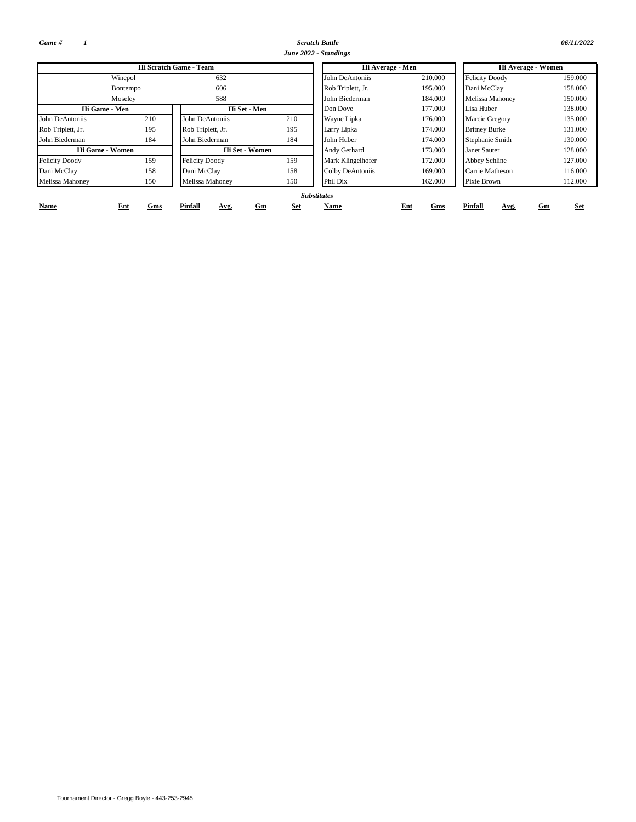*Game # 1*

*Scratch Battle 06/11/2022 June 2022 - Standings*

|                       |                 | Hi Scratch Game - Team |                         | Hi Average - Men   |            | Hi Average - Women     |                  |  |  |  |
|-----------------------|-----------------|------------------------|-------------------------|--------------------|------------|------------------------|------------------|--|--|--|
|                       | Winepol         | 632                    |                         | John DeAntoniis    | 210.000    | <b>Felicity Doody</b>  | 159,000          |  |  |  |
|                       | <b>Bontempo</b> | 606                    |                         | Rob Triplett, Jr.  | 195.000    | Dani McClay            | 158,000          |  |  |  |
|                       | Moseley         | 588                    |                         | John Biederman     | 184.000    | <b>Melissa Mahoney</b> | 150,000          |  |  |  |
| Hi Game - Men         |                 | Hi Set - Men           |                         | Don Dove           | 177.000    | Lisa Huber             | 138,000          |  |  |  |
| John DeAntoniis       | 210             | John DeAntoniis        | 210                     | Wayne Lipka        | 176.000    | Marcie Gregory         | 135.000          |  |  |  |
| Rob Triplett, Jr.     | 195             | Rob Triplett, Jr.      | 195                     | Larry Lipka        | 174.000    | <b>Britney Burke</b>   | 131.000          |  |  |  |
| John Biederman        | 184             | John Biederman         | 184                     | John Huber         | 174.000    | Stephanie Smith        | 130.000          |  |  |  |
| Hi Game - Women       |                 | Hi Set - Women         |                         | Andy Gerhard       | 173.000    | <b>Janet Sauter</b>    | 128,000          |  |  |  |
| <b>Felicity Doody</b> | 159             | <b>Felicity Doody</b>  | 159                     | Mark Klingelhofer  | 172.000    | Abbey Schline          | 127.000          |  |  |  |
| Dani McClay           | 158             | Dani McClay            | 158                     | Colby DeAntoniis   | 169.000    | Carrie Matheson        | 116.000          |  |  |  |
| Melissa Mahoney       | 150             | Melissa Mahoney        | 150                     | Phil Dix           | 162.000    | Pixie Brown            | 112.000          |  |  |  |
|                       |                 |                        |                         | <b>Substitutes</b> |            |                        |                  |  |  |  |
| Name                  | Ent<br>Gms      | Pinfall<br>Avg.        | <b>Set</b><br><u>Gm</u> | Name               | Ent<br>Gms | <b>Pinfall</b><br>Avg. | <b>Set</b><br>Gm |  |  |  |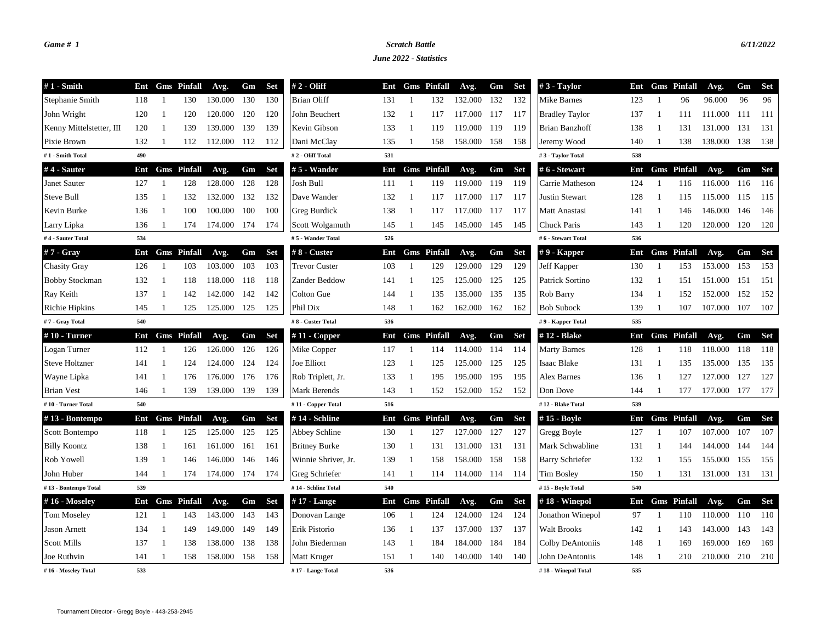# *Game # 1 Scratch Battle 6/11/2022*

*June 2022 - Statistics*

| $#1$ - Smith             | Ent |                          | <b>Gms</b> Pinfall | Avg.    | Gm  | <b>Set</b> | $# 2 - Oliff$        | Ent |                | <b>Gms</b> Pinfall | Avg.    | Gm  | Set        | #3 - Taylor            | Ent |    | <b>Gms</b> Pinfall | Avg.    | Gm  | <b>Set</b> |
|--------------------------|-----|--------------------------|--------------------|---------|-----|------------|----------------------|-----|----------------|--------------------|---------|-----|------------|------------------------|-----|----|--------------------|---------|-----|------------|
| Stephanie Smith          | 118 | -1                       | 130                | 130.000 | 130 | 130        | <b>Brian Oliff</b>   | 131 | -1             | 132                | 132.000 | 132 | 132        | Mike Barnes            | 123 | -1 | 96                 | 96.000  | 96  | 96         |
| John Wright              | 120 | -1                       | 120                | 120.000 | 120 | 120        | John Beuchert        | 132 | -1             | 117                | 117.000 | 117 | 117        | <b>Bradley Taylor</b>  | 137 | -1 | 111                | 111.000 | 111 | -111       |
| Kenny Mittelstetter, III | 120 | -1                       | 139                | 139.000 | 139 | 139        | Kevin Gibson         | 133 | -1             | 119                | 119.000 | 119 | 119        | Brian Banzhoff         | 138 |    | 131                | 131.000 | 131 | 131        |
| Pixie Brown              | 132 | -1                       | 112                | 112.000 | 112 | 112        | Dani McClay          | 135 | -1             | 158                | 158.000 | 158 | 158        | Jeremy Wood            | 140 |    | 138                | 138.000 | 138 | 138        |
| #1 - Smith Total         | 490 |                          |                    |         |     |            | #2 - Oliff Total     | 531 |                |                    |         |     |            | #3 - Taylor Total      | 538 |    |                    |         |     |            |
| #4 - Sauter              | Ent |                          | <b>Gms</b> Pinfall | Avg.    | Gm  | <b>Set</b> | # 5 - Wander         | Ent |                | <b>Gms</b> Pinfall | Avg.    | Gm  | <b>Set</b> | #6 - Stewart           | Ent |    | <b>Gms</b> Pinfall | Avg.    | Gm  | <b>Set</b> |
| Janet Sauter             | 127 |                          | 128                | 128.000 | 128 | 128        | Josh Bull            | 111 |                | 119                | 119.000 | 119 | 119        | Carrie Matheson        | 124 |    | 116                | 116.000 | 116 | 116        |
| Steve Bull               | 135 | $\overline{\phantom{a}}$ | 132                | 132.000 | 132 | 132        | Dave Wander          | 132 | -1             | 117                | 117.000 | 117 | 117        | Justin Stewart         | 128 |    | 115                | 115.000 | 115 | 115        |
| Kevin Burke              | 136 | -1                       | 100                | 100.000 | 100 | 100        | Greg Burdick         | 138 | -1             | 117                | 117.000 | 117 | 117        | Matt Anastasi          | 141 |    | 146                | 146.000 | 146 | 146        |
| Larry Lipka              | 136 | $\overline{1}$           | 174                | 174.000 | 174 | 174        | Scott Wolgamuth      | 145 | -1             | 145                | 145.000 | 145 | 145        | Chuck Paris            | 143 |    | 120                | 120.000 | 120 | 120        |
| #4 - Sauter Total        | 534 |                          |                    |         |     |            | #5 - Wander Total    | 526 |                |                    |         |     |            | #6 - Stewart Total     | 536 |    |                    |         |     |            |
| $#7 - Gray$              | Ent |                          | <b>Gms</b> Pinfall | Avg.    | Gm  | <b>Set</b> | $#8$ - Custer        | Ent |                | <b>Gms</b> Pinfall | Avg.    | Gm  | <b>Set</b> | $#9$ - Kapper          | Ent |    | <b>Gms</b> Pinfall | Avg.    | Gm  | <b>Set</b> |
| <b>Chasity Gray</b>      | 126 | -1                       | 103                | 103.000 | 103 | 103        | <b>Trevor Custer</b> | 103 | -1             | 129                | 129.000 | 129 | 129        | Jeff Kapper            | 130 | -1 | 153                | 153.000 | 153 | 153        |
| <b>Bobby Stockman</b>    | 132 | -1                       | 118                | 118.000 | 118 | 118        | Zander Beddow        | 141 | -1             | 125                | 125.000 | 125 | 125        | Patrick Sortino        | 132 | -1 | 151                | 151.000 | 151 | 151        |
| Ray Keith                | 137 | -1                       | 142                | 142.000 | 142 | 142        | Colton Gue           | 144 | -1             | 135                | 135.000 | 135 | 135        | Rob Barry              | 134 | -1 | 152                | 152.000 | 152 | 152        |
| Richie Hipkins           | 145 | $\overline{1}$           | 125                | 125.000 | 125 | 125        | Phil Dix             | 148 | -1             | 162                | 162.000 | 162 | 162        | <b>Bob Subock</b>      | 139 |    | 107                | 107.000 | 107 | 107        |
| #7 - Gray Total          | 540 |                          |                    |         |     |            | #8 - Custer Total    | 536 |                |                    |         |     |            | #9 - Kapper Total      | 535 |    |                    |         |     |            |
| #10 - Turner             | Ent |                          | <b>Gms</b> Pinfall | Avg.    | Gm  | <b>Set</b> | $# 11 - Copper$      | Ent |                | <b>Gms</b> Pinfall | Avg.    | Gm  | <b>Set</b> | #12 - Blake            | Ent |    | <b>Gms</b> Pinfall | Avg.    | Gm  | <b>Set</b> |
| Logan Turner             | 112 | $\overline{1}$           | 126                | 126.000 | 126 | 126        | Mike Copper          | 117 | -1             | 114                | 114.000 | 114 | 114        | <b>Marty Barnes</b>    | 128 | -1 | 118                | 118.000 | 118 | 118        |
| <b>Steve Holtzner</b>    | 141 | $\overline{1}$           | 124                | 124.000 | 124 | 124        | Joe Elliott          | 123 | $\overline{1}$ | 125                | 125.000 | 125 | 125        | Isaac Blake            | 131 | -1 | 135                | 135.000 | 135 | 135        |
| Wayne Lipka              | 141 | -1                       | 176                | 176.000 | 176 | 176        | Rob Triplett, Jr.    | 133 | -1             | 195                | 195.000 | 195 | 195        | <b>Alex Barnes</b>     | 136 | -1 | 127                | 127.000 | 127 | 127        |
| <b>Brian Vest</b>        | 146 | -1                       | 139                | 139.000 | 139 | 139        | Mark Berends         | 143 | -1             | 152                | 152.000 | 152 | 152        | Don Dove               | 144 |    | 177                | 177.000 | 177 | 177        |
| #10 - Turner Total       | 540 |                          |                    |         |     |            | #11 - Copper Total   | 516 |                |                    |         |     |            | #12 - Blake Total      | 539 |    |                    |         |     |            |
| #13 - Bontempo           | Ent |                          | <b>Gms</b> Pinfall | Avg.    | Gm  | <b>Set</b> | #14 - Schline        | Ent |                | <b>Gms</b> Pinfall | Avg.    | Gm  | <b>Set</b> | #15 - Boyle            | Ent |    | <b>Gms</b> Pinfall | Avg.    | Gm  | <b>Set</b> |
| Scott Bontempo           | 118 | -1                       | 125                | 125.000 | 125 | 125        | Abbey Schline        | 130 | -1             | 127                | 127.000 | 127 | 127        | Gregg Boyle            | 127 |    | 107                | 107.000 | 107 | 107        |
| <b>Billy Koontz</b>      | 138 | -1                       | 161                | 161.000 | 161 | 161        | <b>Britney Burke</b> | 130 | -1             | 131                | 131.000 | 131 | 131        | Mark Schwabline        | 131 |    | 144                | 144.000 | 144 | 144        |
| Rob Yowell               | 139 | -1                       | 146                | 146.000 | 146 | 146        | Winnie Shriver, Jr.  | 139 | -1             | 158                | 158.000 | 158 | 158        | <b>Barry Schriefer</b> | 132 |    | 155                | 155.000 | 155 | 155        |
| John Huber               | 144 | $\overline{1}$           | 174                | 174.000 | 174 | 174        | Greg Schriefer       | 141 | -1             | 114                | 114.000 | 114 | 114        | <b>Tim Bosley</b>      | 150 |    | 131                | 131.000 | 131 | 131        |
| #13 - Bontempo Total     | 539 |                          |                    |         |     |            | #14 - Schline Total  | 540 |                |                    |         |     |            | #15 - Boyle Total      | 540 |    |                    |         |     |            |
| #16 - Moseley            | Ent |                          | <b>Gms</b> Pinfall | Avg.    | Gm  | <b>Set</b> | #17 - Lange          | Ent |                | <b>Gms</b> Pinfall | Avg.    | Gm  | <b>Set</b> | $#18$ - Winepol        | Ent |    | <b>Gms</b> Pinfall | Avg.    | Gm  | <b>Set</b> |
| <b>Tom Moseley</b>       | 121 | -1                       | 143                | 143.000 | 143 | 143        | Donovan Lange        | 106 | $\overline{1}$ | 124                | 124.000 | 124 | 124        | Jonathon Winepol       | 97  |    | 110                | 110.000 | 110 | 110        |
| <b>Jason Arnett</b>      | 134 | -1                       | 149                | 149.000 | 149 | 149        | Erik Pistorio        | 136 | -1             | 137                | 137.000 | 137 | 137        | <b>Walt Brooks</b>     | 142 | -1 | 143                | 143.000 | 143 | 143        |
| <b>Scott Mills</b>       | 137 | -1                       | 138                | 138.000 | 138 | 138        | John Biederman       | 143 | -1             | 184                | 184.000 | 184 | 184        | Colby DeAntoniis       | 148 | -1 | 169                | 169.000 | 169 | 169        |
| Joe Ruthvin              | 141 | -1                       | 158                | 158.000 | 158 | 158        | Matt Kruger          | 151 | -1             | 140                | 140.000 | 140 | 140        | John DeAntoniis        | 148 |    | 210                | 210.000 | 210 | 210        |
| #16 - Moseley Total      | 533 |                          |                    |         |     |            | #17 - Lange Total    | 536 |                |                    |         |     |            | #18 - Winepol Total    | 535 |    |                    |         |     |            |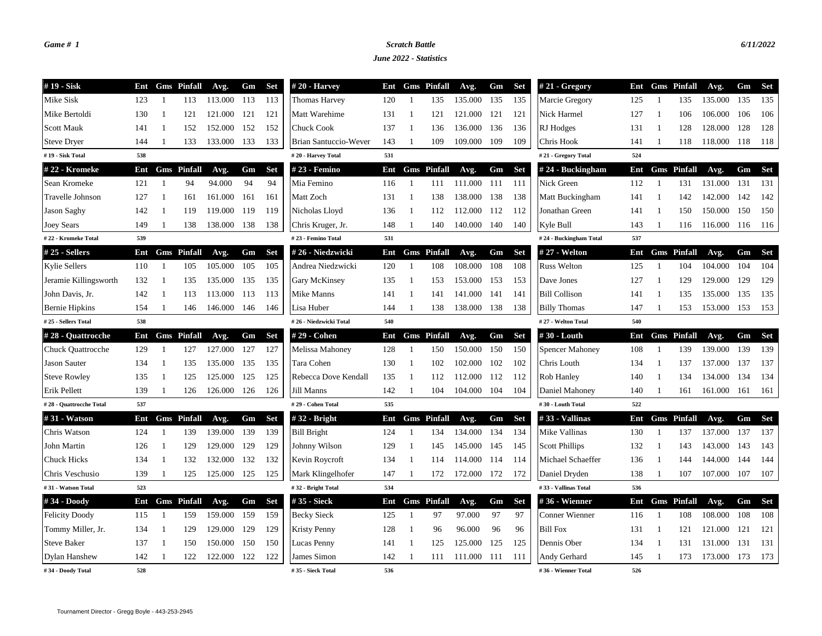## *Game # 1 Scratch Battle 6/11/2022*

*June 2022 - Statistics*

| #19 - Sisk               | Ent |                | <b>Gms</b> Pinfall | Avg.        | Gm  | Set        | $#20$ - Harvey         | Ent |                | <b>Gms</b> Pinfall | Avg.        | Gm  | Set        | $#21 - Gregory$        | Ent |                | <b>Gms</b> Pinfall     | Avg.    | Gm    | <b>Set</b> |
|--------------------------|-----|----------------|--------------------|-------------|-----|------------|------------------------|-----|----------------|--------------------|-------------|-----|------------|------------------------|-----|----------------|------------------------|---------|-------|------------|
| Mike Sisk                | 123 | $\overline{1}$ | 113                | 113.000     | 113 | 113        | <b>Thomas Harvey</b>   | 120 | -1             | 135                | 135.000     | 135 | 135        | Marcie Gregory         | 125 | -1             | 135                    | 135.000 | 135   | 135        |
| Mike Bertoldi            | 130 | $\overline{1}$ | 121                | 121.000     | 121 | 121        | Matt Warehime          | 131 | -1             | 121                | 121.000     | 121 | 121        | Nick Harmel            | 127 | -1             | 106                    | 106.000 | 106   | 106        |
| <b>Scott Mauk</b>        | 141 | $\overline{1}$ | 152                | 152.000     | 152 | 152        | <b>Chuck Cook</b>      | 137 | -1             | 136                | 136.000     | 136 | 136        | RJ Hodges              | 131 | $\overline{1}$ | 128                    | 128.000 | 128   | 128        |
| <b>Steve Dryer</b>       | 144 | -1             | 133                | 133.000     | 133 | 133        | Brian Santuccio-Wever  | 143 |                | 109                | 109.000     | 109 | 109        | Chris Hook             | 141 |                | 118                    | 118.000 | -118  | 118        |
| #19 - Sisk Total         | 538 |                |                    |             |     |            | #20 - Harvey Total     | 531 |                |                    |             |     |            | #21 - Gregory Total    | 524 |                |                        |         |       |            |
| #22 - Kromeke            | Ent |                | <b>Gms</b> Pinfall | Avg.        | Gm  | <b>Set</b> | # 23 - Femino          | Ent |                | <b>Gms</b> Pinfall | Avg.        | Gm  | <b>Set</b> | #24 - Buckingham       | Ent |                | <b>Gms</b> Pinfall     | Avg.    | Gm    | <b>Set</b> |
| Sean Kromeke             | 121 | $\overline{1}$ | 94                 | 94.000      | 94  | 94         | Mia Femino             | 116 | $\overline{1}$ | 111                | 111.000     | 111 | 111        | Nick Green             | 112 | $\overline{1}$ | 131                    | 131.000 | 131   | 131        |
| Travelle Johnson         | 127 | -1             | 161                | 161.000     | 161 | 161        | Matt Zoch              | 131 | -1             | 138                | 138.000     | 138 | 138        | Matt Buckingham        | 141 |                | 142                    | 142.000 | 142   | 142        |
| Jason Saghy              | 142 | -1             | 119                | 119.000     | 119 | 119        | Nicholas Lloyd         | 136 | -1             | 112                | 112.000     | 112 | 112        | Jonathan Green         | 141 | -1             | 150                    | 150.000 | 150   | 150        |
| Joey Sears               | 149 | -1             | 138                | 138.000     | 138 | 138        | Chris Kruger, Jr.      | 148 | -1             | 140                | 140.000     | 140 | 140        | Kyle Bull              | 143 | -1             | 116                    | 116.000 | 116   | 116        |
| #22 - Kromeke Total      | 539 |                |                    |             |     |            | #23 - Femino Total     | 531 |                |                    |             |     |            | #24 - Buckingham Total | 537 |                |                        |         |       |            |
| $#25 - Sellers$          | Ent |                | <b>Gms</b> Pinfall | Avg.        | Gm  | <b>Set</b> | #26 - Niedzwicki       | Ent |                | <b>Gms</b> Pinfall | Avg.        | Gm  | <b>Set</b> | # 27 - Welton          | Ent |                | <b>Gms</b> Pinfall     | Avg.    | Gm    | <b>Set</b> |
| <b>Kylie Sellers</b>     | 110 | -1             | 105                | 105.000     | 105 | 105        | Andrea Niedzwicki      | 120 | -1             | 108                | 108.000     | 108 | 108        | <b>Russ Welton</b>     | 125 | -1             | 104                    | 104.000 | 104   | 104        |
| Jeramie Killingsworth    | 132 | -1             | 135                | 135.000     | 135 | 135        | Gary McKinsey          | 135 | -1             | 153                | 153.000     | 153 | 153        | Dave Jones             | 127 | - 1            | 129                    | 129.000 | 129   | 129        |
| John Davis, Jr.          | 142 | $\overline{1}$ | 113                | 113.000     | 113 | 113        | Mike Manns             | 141 | -1             | 141                | 141.000     | 141 | 141        | <b>Bill Collison</b>   | 141 | -1             | 135                    | 135.000 | 135   | 135        |
| <b>Bernie Hipkins</b>    | 154 |                | 146                | 146.000     | 146 | 146        | Lisa Huber             | 144 | -1             | 138                | 138.000     | 138 | 138        | <b>Billy Thomas</b>    | 147 |                | 153                    | 153.000 | 153   | 153        |
| #25 - Sellers Total      | 538 |                |                    |             |     |            | #26 - Niedzwicki Total | 540 |                |                    |             |     |            | #27 - Welton Total     | 540 |                |                        |         |       |            |
| #28 - Quattrocche        | Ent |                | <b>Gms</b> Pinfall | Avg.        | Gm  | <b>Set</b> | #29 - Cohen            | Ent |                | <b>Gms</b> Pinfall | Avg.        | Gm  | <b>Set</b> | #30 - Louth            | Ent |                | <b>Gms</b> Pinfall     | Avg.    | Gm    | <b>Set</b> |
| <b>Chuck Quattrocche</b> | 129 |                | 127                | 127.000     | 127 | 127        | Melissa Mahoney        | 128 | $\mathbf{1}$   | 150                | 150.000     | 150 | 150        | <b>Spencer Mahoney</b> | 108 |                | 139                    | 139.000 | 139   | 139        |
| <b>Jason Sauter</b>      | 134 | $\overline{1}$ | 135                | 135.000     | 135 | 135        | Tara Cohen             | 130 | -1             | 102                | 102.000     | 102 | 102        | Chris Louth            | 134 | $\overline{1}$ | 137                    | 137.000 | 137   | 137        |
| <b>Steve Rowley</b>      | 135 | $\overline{1}$ | 125                | 125.000     | 125 | 125        | Rebecca Dove Kendall   | 135 | -1             | 112                | 112.000     | 112 | 112        | Rob Hanley             | 140 | -1             | 134                    | 134.000 | 134   | 134        |
| Erik Pellett             | 139 | $\overline{1}$ | 126                | 126.000     | 126 | 126        | Jill Manns             | 142 | -1             | 104                | 104.000     | 104 | 104        | Daniel Mahoney         | 140 | -1             | 161                    | 161.000 | 161   | 161        |
| #28 - Quattrocche Total  | 537 |                |                    |             |     |            | #29 - Cohen Total      | 535 |                |                    |             |     |            | #30 - Louth Total      | 522 |                |                        |         |       |            |
| #31 - Watson             | Ent |                | <b>Gms</b> Pinfall | Avg.        | Gm  | <b>Set</b> | $#32 - Brief$          | Ent |                | <b>Gms</b> Pinfall | Avg.        | Gm  | <b>Set</b> | #33 - Vallinas         | Ent |                | <b>Gms</b> Pinfall     | Avg.    | Gm    | <b>Set</b> |
| Chris Watson             | 124 |                | 139                | 139.000     | 139 | 139        | <b>Bill Bright</b>     | 124 | $\mathbf{1}$   | 134                | 134.000     | 134 | 134        | Mike Vallinas          | 130 | $\overline{1}$ | 137                    | 137.000 | 137   | 137        |
| John Martin              | 126 | -1             | 129                | 129.000     | 129 | 129        | Johnny Wilson          | 129 | -1             | 145                | 145.000     | 145 | 145        | <b>Scott Phillips</b>  | 132 | - 1            | 143                    | 143.000 | 143   | 143        |
| <b>Chuck Hicks</b>       | 134 | $\overline{1}$ | 132                | 132.000     | 132 | 132        | Kevin Roycroft         | 134 | -1             | 114                | 114.000     | 114 | 114        | Michael Schaeffer      | 136 |                | 144                    | 144.000 | 144   | 144        |
| Chris Veschusio          | 139 |                | 125                | 125.000 125 |     | 125        | Mark Klingelhofer      | 147 | -1             | 172                | 172.000 172 |     | 172        | Daniel Dryden          | 138 |                | 107                    | 107.000 | - 107 | 107        |
| #31 - Watson Total       | 523 |                |                    |             |     |            | #32 - Bright Total     | 534 |                |                    |             |     |            | #33 - Vallinas Total   | 536 |                |                        |         |       |            |
| #34 - Doody              | Ent |                | <b>Gms</b> Pinfall | Avg.        | Gm  | <b>Set</b> | #35 - Sieck            | Ent |                | <b>Gms</b> Pinfall | Avg.        | Gm  | <b>Set</b> | #36 - Wienner          |     |                | <b>Ent</b> Gms Pinfall | Avg.    | Gm    | <b>Set</b> |
| <b>Felicity Doody</b>    | 115 | $\overline{1}$ | 159                | 159.000     | 159 | 159        | <b>Becky Sieck</b>     | 125 | -1             | 97                 | 97.000      | 97  | 97         | <b>Conner Wienner</b>  | 116 | $\overline{1}$ | 108                    | 108.000 | 108   | 108        |
| Tommy Miller, Jr.        | 134 | -1             | 129                | 129.000     | 129 | 129        | <b>Kristy Penny</b>    | 128 | -1             | 96                 | 96.000      | 96  | 96         | <b>Bill Fox</b>        | 131 | -1             | 121                    | 121.000 | 121   | 121        |
| <b>Steve Baker</b>       | 137 | -1             | 150                | 150.000     | 150 | 150        | Lucas Penny            | 141 | -1             | 125                | 125.000     | 125 | 125        | Dennis Ober            | 134 | -1             | 131                    | 131.000 | 131   | 131        |
| Dylan Hanshew            | 142 |                | 122                | 122.000     | 122 | 122        | James Simon            | 142 | -1             | 111                | 111.000     | 111 | 111        | Andy Gerhard           | 145 | $\overline{1}$ | 173                    | 173.000 | 173   | 173        |
| #34 - Doody Total        | 528 |                |                    |             |     |            | #35 - Sieck Total      | 536 |                |                    |             |     |            | #36 - Wienner Total    | 526 |                |                        |         |       |            |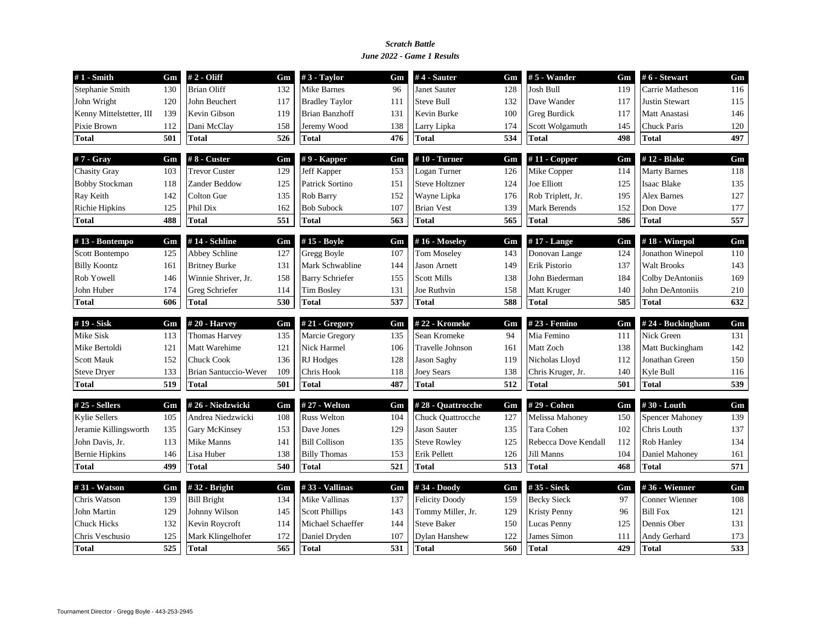### *June 2022 - Game 1 Results Scratch Battle*

| $#1$ - Smith             | Gm  | $#2 - Oliff$          | Gm  | $#3$ - Taylor          | Gm               | $#4$ - Sauter         | Gm  | $# 5$ - Wander       | Gm  | #6 - Stewart           | Gm  |
|--------------------------|-----|-----------------------|-----|------------------------|------------------|-----------------------|-----|----------------------|-----|------------------------|-----|
| Stephanie Smith          | 130 | <b>Brian Oliff</b>    | 132 | Mike Barnes            | 96               | Janet Sauter          | 128 | Josh Bull            | 119 | Carrie Matheson        | 116 |
| John Wright              | 120 | John Beuchert         | 117 | <b>Bradley Taylor</b>  | 111              | <b>Steve Bull</b>     | 132 | Dave Wander          | 117 | <b>Justin Stewart</b>  | 115 |
| Kenny Mittelstetter, III | 139 | Kevin Gibson          | 119 | <b>Brian Banzhoff</b>  | 131              | Kevin Burke           | 100 | <b>Greg Burdick</b>  | 117 | Matt Anastasi          | 146 |
| Pixie Brown              | 112 | Dani McClay           | 158 | Jeremy Wood            | 138              | Larry Lipka           | 174 | Scott Wolgamuth      | 145 | <b>Chuck Paris</b>     | 120 |
| <b>Total</b>             | 501 | <b>Total</b>          | 526 | <b>Total</b>           | 476              | <b>Total</b>          | 534 | Total                | 498 | <b>Total</b>           | 497 |
| $#7 - Gray$              | Gm  | $#8$ - Custer         | Gm  | $# 9$ - Kapper         | Gm               | $#10$ - Turner        | Gm  | $#11$ - Copper       | Gm  | #12 - Blake            | Gm  |
| <b>Chasity Gray</b>      | 103 | <b>Trevor Custer</b>  | 129 | Jeff Kapper            | 153              | Logan Turner          | 126 | Mike Copper          | 114 | <b>Marty Barnes</b>    | 118 |
| <b>Bobby Stockman</b>    | 118 | Zander Beddow         | 125 | Patrick Sortino        | 151              | <b>Steve Holtzner</b> | 124 | Joe Elliott          | 125 | <b>Isaac Blake</b>     | 135 |
| Ray Keith                | 142 | Colton Gue            | 135 | Rob Barry              | 152              | Wayne Lipka           | 176 | Rob Triplett, Jr.    | 195 | <b>Alex Barnes</b>     | 127 |
| <b>Richie Hipkins</b>    | 125 | Phil Dix              | 162 | <b>Bob Subock</b>      | 107              | <b>Brian Vest</b>     | 139 | Mark Berends         | 152 | Don Dove               | 177 |
| <b>Total</b>             | 488 | <b>Total</b>          | 551 | <b>Total</b>           | 563              | <b>Total</b>          | 565 | Total                | 586 | <b>Total</b>           | 557 |
| #13 - Bontempo           | Gm  | #14 - Schline         | Gm  | #15 - Boyle            | Gm               | #16 - Moseley         | Gm  | $#17$ - Lange        | Gm  | $#18$ - Winepol        | Gm  |
| Scott Bontempo           | 125 | Abbey Schline         | 127 | Gregg Boyle            | 107              | <b>Tom Moseley</b>    | 143 | Donovan Lange        | 124 | Jonathon Winepol       | 110 |
| <b>Billy Koontz</b>      | 161 | <b>Britney Burke</b>  | 131 | Mark Schwabline        | 144              | <b>Jason Arnett</b>   | 149 | Erik Pistorio        | 137 | <b>Walt Brooks</b>     | 143 |
| Rob Yowell               | 146 | Winnie Shriver, Jr.   | 158 | <b>Barry Schriefer</b> | 155              | Scott Mills           | 138 | John Biederman       | 184 | Colby DeAntoniis       | 169 |
| John Huber               | 174 | Greg Schriefer        | 114 | <b>Tim Bosley</b>      | 131              | Joe Ruthvin           | 158 | Matt Kruger          | 140 | John DeAntoniis        | 210 |
| <b>Total</b>             | 606 | <b>Total</b>          | 530 | <b>Total</b>           | 537              | <b>Total</b>          | 588 | Total                | 585 | <b>Total</b>           | 632 |
| #19 - Sisk               | Gm  | #20 - Harvey          | Gm  | # $21 - Gregory$       | Gm               | #22 - Kromeke         | Gm  | #23 - Femino         | Gm  | #24 - Buckingham       | Gm  |
| Mike Sisk                | 113 | <b>Thomas Harvey</b>  | 135 | Marcie Gregory         | 135              | Sean Kromeke          | 94  | Mia Femino           | 111 | Nick Green             | 131 |
| Mike Bertoldi            | 121 | Matt Warehime         | 121 | Nick Harmel            | 106              | Travelle Johnson      | 161 | Matt Zoch            | 138 | Matt Buckingham        | 142 |
| <b>Scott Mauk</b>        | 152 | <b>Chuck Cook</b>     | 136 | RJ Hodges              | 128              | <b>Jason Saghy</b>    | 119 | Nicholas Lloyd       | 112 | Jonathan Green         | 150 |
| <b>Steve Dryer</b>       | 133 | Brian Santuccio-Wever | 109 | Chris Hook             | 118              | <b>Joey Sears</b>     | 138 | Chris Kruger, Jr.    | 140 | Kyle Bull              | 116 |
| <b>Total</b>             | 519 | <b>Total</b>          | 501 | <b>Total</b>           | 487              | <b>Total</b>          | 512 | Total                | 501 | <b>Total</b>           | 539 |
| $#25 - Sellers$          | Gm  | #26 - Niedzwicki      | Gm  | # 27 - Welton          | Gm               | #28 - Quattrocche     | Gm  | # 29 - Cohen         | Gm  | #30 - Louth            | Gm  |
| <b>Kylie Sellers</b>     |     | Andrea Niedzwicki     | 108 | <b>Russ Welton</b>     | 104              | Chuck Quattrocche     | 127 | Melissa Mahoney      | 150 | <b>Spencer Mahoney</b> | 139 |
|                          | 105 |                       |     |                        |                  |                       |     |                      |     |                        |     |
| Jeramie Killingsworth    | 135 | Gary McKinsey         | 153 | Dave Jones             | 129              | <b>Jason Sauter</b>   | 135 | Tara Cohen           | 102 | Chris Louth            | 137 |
| John Davis, Jr.          | 113 | Mike Manns            | 141 | <b>Bill Collison</b>   | 135              | <b>Steve Rowley</b>   | 125 | Rebecca Dove Kendall | 112 | <b>Rob Hanley</b>      | 134 |
| <b>Bernie Hipkins</b>    | 146 | Lisa Huber            | 138 | <b>Billy Thomas</b>    | 153              | Erik Pellett          | 126 | Jill Manns           | 104 | Daniel Mahoney         | 161 |
| <b>Total</b>             | 499 | <b>Total</b>          | 540 | <b>Total</b>           | $\overline{521}$ | <b>Total</b>          | 513 | Total                | 468 | <b>Total</b>           | 571 |
| #31 - Watson             | Gm  | #32 - Bright          | Gm  | #33 - Vallinas         | Gm               | #34 - Doody           | Gm  | #35 - Sieck          | Gm  | #36 - Wienner          | Gm  |
| Chris Watson             | 139 | <b>Bill Bright</b>    | 134 | Mike Vallinas          | 137              | <b>Felicity Doody</b> | 159 | <b>Becky Sieck</b>   | 97  | Conner Wienner         | 108 |
| John Martin              | 129 | Johnny Wilson         | 145 | <b>Scott Phillips</b>  | 143              | Tommy Miller, Jr.     | 129 | <b>Kristy Penny</b>  | 96  | <b>Bill Fox</b>        | 121 |
| <b>Chuck Hicks</b>       | 132 | Kevin Roycroft        | 114 | Michael Schaeffer      | 144              | <b>Steve Baker</b>    | 150 | Lucas Penny          | 125 | Dennis Ober            | 131 |
| Chris Veschusio          | 125 | Mark Klingelhofer     | 172 | Daniel Dryden          | 107              | <b>Dylan Hanshew</b>  | 122 | James Simon          | 111 | Andy Gerhard           | 173 |